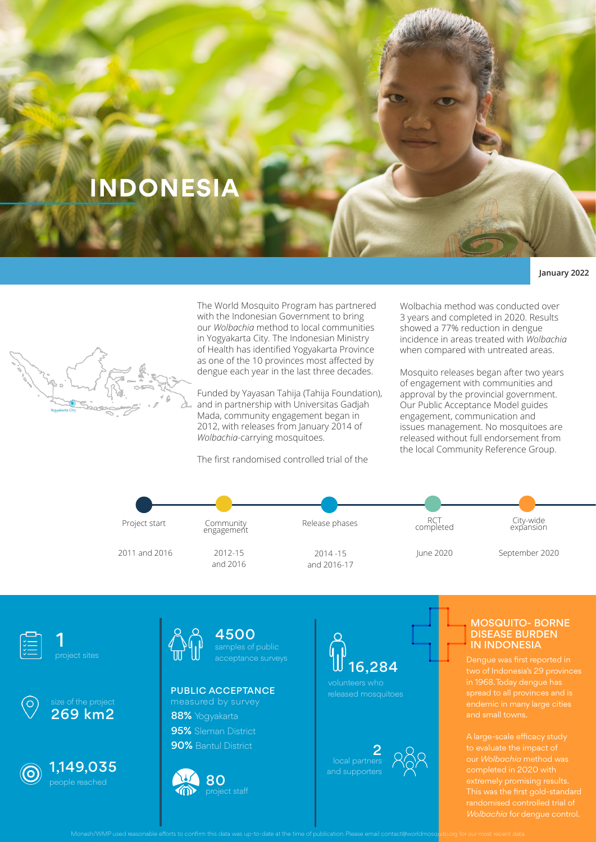# **INDONESIA**

## **January 2022**



The World Mosquito Program has partnered with the Indonesian Government to bring our *Wolbachia* method to local communities in Yogyakarta City. The Indonesian Ministry of Health has identified Yogyakarta Province as one of the 10 provinces most affected by dengue each year in the last three decades.

Funded by Yayasan Tahija (Tahija Foundation), and in partnership with Universitas Gadjah Mada, community engagement began in 2012, with releases from January 2014 of *Wolbachia*-carrying mosquitoes.

The first randomised controlled trial of the

Wolbachia method was conducted over 3 years and completed in 2020. Results showed a 77% reduction in dengue incidence in areas treated with *Wolbachia*  when compared with untreated areas.

Mosquito releases began after two years of engagement with communities and approval by the provincial government. Our Public Acceptance Model guides engagement, communication and issues management. No mosquitoes are released without full endorsement from the local Community Reference Group.











1,149,035



4500

# 88% Yogyakarta PUBLIC ACCEPTANCE

95% Sleman District **90%** Bantul District



16,284

volunteers who released mosquitoes

2

### MOSQUITO- BORNE DISEASE BURDEN IN INDONESIA